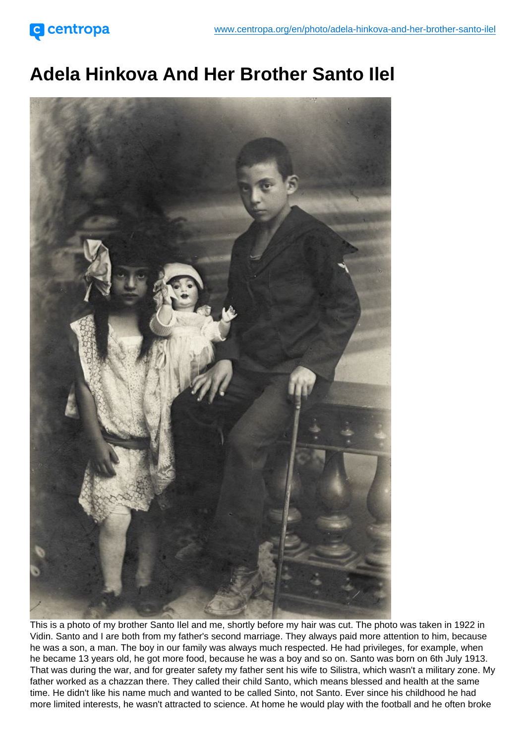## Adela Hinkova And Her Brother Santo Ilel

This is a photo of my brother Santo Ilel and me, shortly before my hair was cut. The photo was taken in 1922 in Vidin. Santo and I are both from my father's second marriage. They always paid more attention to him, because he was a son, a man. The boy in our family was always much respected. He had privileges, for example, when he became 13 years old, he got more food, because he was a boy and so on. Santo was born on 6th July 1913. That was during the war, and for greater safety my father sent his wife to Silistra, which wasn't a military zone. My father worked as a chazzan there. They called their child Santo, which means blessed and health at the same time. He didn't like his name much and wanted to be called Sinto, not Santo. Ever since his childhood he had more limited interests, he wasn't attracted to science. At home he would play with the football and he often broke